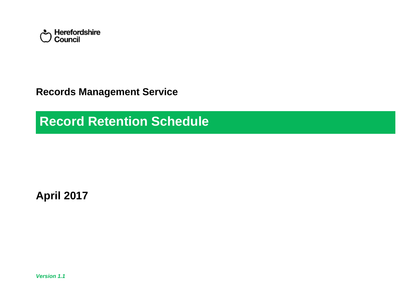

**Records Management Service**

**Record Retention Schedule**

**April 2017**

*Version 1.1*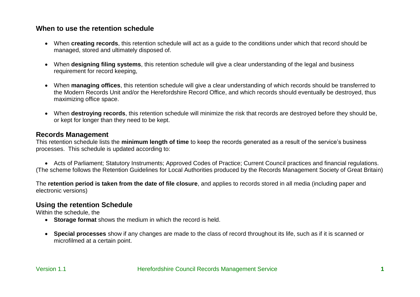## **When to use the retention schedule**

- When **creating records**, this retention schedule will act as a guide to the conditions under which that record should be managed, stored and ultimately disposed of.
- When **designing filing systems**, this retention schedule will give a clear understanding of the legal and business requirement for record keeping,
- When **managing offices**, this retention schedule will give a clear understanding of which records should be transferred to the Modern Records Unit and/or the Herefordshire Record Office, and which records should eventually be destroyed, thus maximizing office space.
- When **destroying records**, this retention schedule will minimize the risk that records are destroyed before they should be, or kept for longer than they need to be kept.

## **Records Management**

This retention schedule lists the **minimum length of time** to keep the records generated as a result of the service's business processes. This schedule is updated according to:

 Acts of Parliament; Statutory Instruments; Approved Codes of Practice; Current Council practices and financial regulations. (The scheme follows the Retention Guidelines for Local Authorities produced by the Records Management Society of Great Britain)

The **retention period is taken from the date of file closure**, and applies to records stored in all media (including paper and electronic versions)

# **Using the retention Schedule**

Within the schedule, the

- **Storage format** shows the medium in which the record is held.
- **Special processes** show if any changes are made to the class of record throughout its life, such as if it is scanned or microfilmed at a certain point.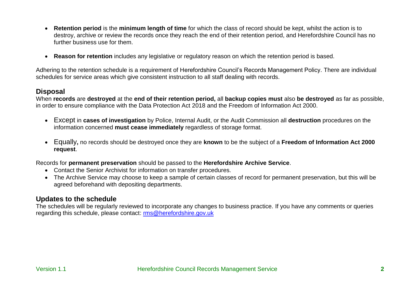- **Retention period** is the **minimum length of time** for which the class of record should be kept, whilst the action is to destroy, archive or review the records once they reach the end of their retention period, and Herefordshire Council has no further business use for them.
- **Reason for retention** includes any legislative or regulatory reason on which the retention period is based.

Adhering to the retention schedule is a requirement of Herefordshire Council's Records Management Policy. There are individual schedules for service areas which give consistent instruction to all staff dealing with records.

#### **Disposal**

When **records** are **destroyed** at the **end of their retention period,** all **backup copies must** also **be destroyed** as far as possible, in order to ensure compliance with the Data Protection Act 2018 and the Freedom of Information Act 2000.

- Except in **cases of investigation** by Police, Internal Audit, or the Audit Commission all **destruction** procedures on the information concerned **must cease immediately** regardless of storage format.
- Equally**,** no records should be destroyed once they are **known** to be the subject of a **Freedom of Information Act 2000 request**.

Records for **permanent preservation** should be passed to the **Herefordshire Archive Service**.

- Contact the Senior Archivist for information on transfer procedures.
- The Archive Service may choose to keep a sample of certain classes of record for permanent preservation, but this will be agreed beforehand with depositing departments.

## **Updates to the schedule**

The schedules will be regularly reviewed to incorporate any changes to business practice. If you have any comments or queries regarding this schedule, please contact: [rms@herefordshire.gov.uk](mailto:rms@herefordshire.gov.uk)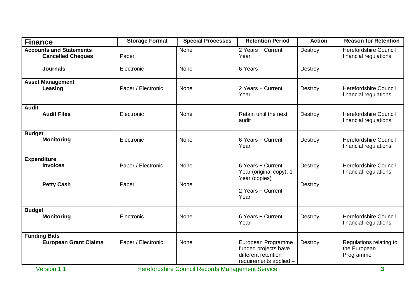| <b>Finance</b>                                             | <b>Storage Format</b> | <b>Special Processes</b> | <b>Retention Period</b>                                                                     | <b>Action</b> | <b>Reason for Retention</b>                           |
|------------------------------------------------------------|-----------------------|--------------------------|---------------------------------------------------------------------------------------------|---------------|-------------------------------------------------------|
| <b>Accounts and Statements</b><br><b>Cancelled Cheques</b> | Paper                 | None                     | 2 Years + Current<br>Year                                                                   | Destroy       | <b>Herefordshire Council</b><br>financial regulations |
| <b>Journals</b>                                            | Electronic            | None                     | 6 Years                                                                                     | Destroy       |                                                       |
| <b>Asset Management</b><br>Leasing                         | Paper / Electronic    | None                     | 2 Years + Current<br>Year                                                                   | Destroy       | <b>Herefordshire Council</b><br>financial regulations |
| <b>Audit</b><br><b>Audit Files</b>                         | Electronic            | None                     | Retain until the next<br>audit                                                              | Destroy       | <b>Herefordshire Council</b><br>financial regulations |
| <b>Budget</b><br><b>Monitoring</b>                         | Electronic            | None                     | 6 Years + Current<br>Year                                                                   | Destroy       | <b>Herefordshire Council</b><br>financial regulations |
| <b>Expenditure</b><br><b>Invoices</b>                      | Paper / Electronic    | None                     | 6 Years + Current<br>Year (original copy); 1<br>Year (copies)                               | Destroy       | <b>Herefordshire Council</b><br>financial regulations |
| <b>Petty Cash</b>                                          | Paper                 | None                     | 2 Years + Current<br>Year                                                                   | Destroy       |                                                       |
| <b>Budget</b><br><b>Monitoring</b>                         | Electronic            | None                     | 6 Years + Current<br>Year                                                                   | Destroy       | <b>Herefordshire Council</b><br>financial regulations |
| <b>Funding Bids</b><br><b>European Grant Claims</b>        | Paper / Electronic    | None                     | European Programme<br>funded projects have<br>different retention<br>requirements applied - | Destroy       | Regulations relating to<br>the European<br>Programme  |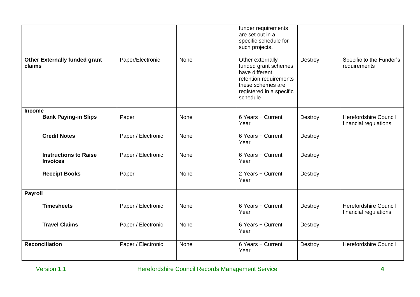| <b>Other Externally funded grant</b><br>claims  | Paper/Electronic   | <b>None</b> | funder requirements<br>are set out in a<br>specific schedule for<br>such projects.<br>Other externally<br>funded grant schemes<br>have different<br>retention requirements<br>these schemes are<br>registered in a specific<br>schedule | Destroy | Specific to the Funder's<br>requirements              |
|-------------------------------------------------|--------------------|-------------|-----------------------------------------------------------------------------------------------------------------------------------------------------------------------------------------------------------------------------------------|---------|-------------------------------------------------------|
| <b>Income</b><br><b>Bank Paying-in Slips</b>    | Paper              | None        | 6 Years + Current                                                                                                                                                                                                                       | Destroy | <b>Herefordshire Council</b>                          |
|                                                 |                    |             | Year                                                                                                                                                                                                                                    |         | financial regulations                                 |
| <b>Credit Notes</b>                             | Paper / Electronic | None        | 6 Years + Current<br>Year                                                                                                                                                                                                               | Destroy |                                                       |
| <b>Instructions to Raise</b><br><b>Invoices</b> | Paper / Electronic | <b>None</b> | 6 Years + Current<br>Year                                                                                                                                                                                                               | Destroy |                                                       |
| <b>Receipt Books</b>                            | Paper              | <b>None</b> | 2 Years + Current<br>Year                                                                                                                                                                                                               | Destroy |                                                       |
| <b>Payroll</b>                                  |                    |             |                                                                                                                                                                                                                                         |         |                                                       |
| <b>Timesheets</b>                               | Paper / Electronic | None        | 6 Years + Current<br>Year                                                                                                                                                                                                               | Destroy | <b>Herefordshire Council</b><br>financial regulations |
| <b>Travel Claims</b>                            | Paper / Electronic | None        | 6 Years + Current<br>Year                                                                                                                                                                                                               | Destroy |                                                       |
| Reconciliation                                  | Paper / Electronic | <b>None</b> | 6 Years + Current<br>Year                                                                                                                                                                                                               | Destroy | <b>Herefordshire Council</b>                          |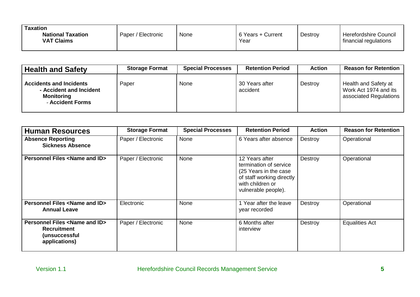| Taxation<br><b>National Taxation</b><br><b>VAT Claims</b> | Paper / Electronic | None | 6 Years + Current<br>Year | Destroy | Herefordshire Council<br>financial regulations |
|-----------------------------------------------------------|--------------------|------|---------------------------|---------|------------------------------------------------|
|-----------------------------------------------------------|--------------------|------|---------------------------|---------|------------------------------------------------|

| <b>Health and Safety</b>                                                                           | <b>Storage Format</b> | <b>Special Processes</b> | <b>Retention Period</b>    | <b>Action</b> | <b>Reason for Retention</b>                                             |
|----------------------------------------------------------------------------------------------------|-----------------------|--------------------------|----------------------------|---------------|-------------------------------------------------------------------------|
| <b>Accidents and Incidents</b><br>- Accident and Incident<br><b>Monitoring</b><br>- Accident Forms | Paper                 | None                     | 30 Years after<br>accident | Destroy       | Health and Safety at<br>Work Act 1974 and its<br>associated Regulations |

| <b>Human Resources</b>                                                                                    | <b>Storage Format</b> | <b>Special Processes</b> | <b>Retention Period</b>                                                                                                                    | <b>Action</b> | <b>Reason for Retention</b> |
|-----------------------------------------------------------------------------------------------------------|-----------------------|--------------------------|--------------------------------------------------------------------------------------------------------------------------------------------|---------------|-----------------------------|
| <b>Absence Reporting</b><br><b>Sickness Absence</b>                                                       | Paper / Electronic    | None                     | 6 Years after absence                                                                                                                      | Destroy       | Operational                 |
| <b>Personnel Files <name and="" id=""></name></b>                                                         | Paper / Electronic    | None                     | 12 Years after<br>termination of service<br>(25 Years in the case)<br>of staff working directly<br>with children or<br>vulnerable people). | Destroy       | Operational                 |
| <b>Personnel Files <name and="" id=""></name></b><br><b>Annual Leave</b>                                  | Electronic            | None                     | 1 Year after the leave<br>year recorded                                                                                                    | Destroy       | Operational                 |
| <b>Personnel Files <name and="" id=""></name></b><br><b>Recruitment</b><br>(unsuccessful<br>applications) | Paper / Electronic    | None                     | 6 Months after<br>interview                                                                                                                | Destroy       | <b>Equalities Act</b>       |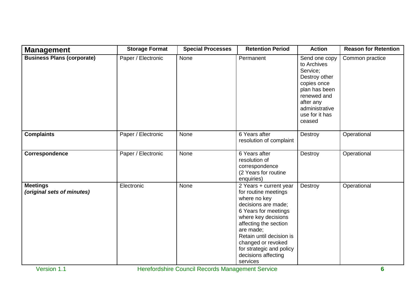| <b>Management</b>                             | <b>Storage Format</b> | <b>Special Processes</b> | <b>Retention Period</b>                                                                                                                                                                                                                                                                     | <b>Action</b>                                                                                                                                                       | <b>Reason for Retention</b> |
|-----------------------------------------------|-----------------------|--------------------------|---------------------------------------------------------------------------------------------------------------------------------------------------------------------------------------------------------------------------------------------------------------------------------------------|---------------------------------------------------------------------------------------------------------------------------------------------------------------------|-----------------------------|
| <b>Business Plans (corporate)</b>             | Paper / Electronic    | None                     | Permanent                                                                                                                                                                                                                                                                                   | Send one copy<br>to Archives<br>Service;<br>Destroy other<br>copies once<br>plan has been<br>renewed and<br>after any<br>administrative<br>use for it has<br>ceased | Common practice             |
| <b>Complaints</b>                             | Paper / Electronic    | None                     | 6 Years after<br>resolution of complaint                                                                                                                                                                                                                                                    | Destroy                                                                                                                                                             | Operational                 |
| Correspondence                                | Paper / Electronic    | None                     | 6 Years after<br>resolution of<br>correspondence<br>(2 Years for routine<br>enquiries)                                                                                                                                                                                                      | Destroy                                                                                                                                                             | Operational                 |
| <b>Meetings</b><br>(original sets of minutes) | Electronic            | None                     | 2 Years + current year<br>for routine meetings<br>where no key<br>decisions are made;<br>6 Years for meetings<br>where key decisions<br>affecting the section<br>are made;<br>Retain until decision is<br>changed or revoked<br>for strategic and policy<br>decisions affecting<br>services | Destroy                                                                                                                                                             | Operational                 |